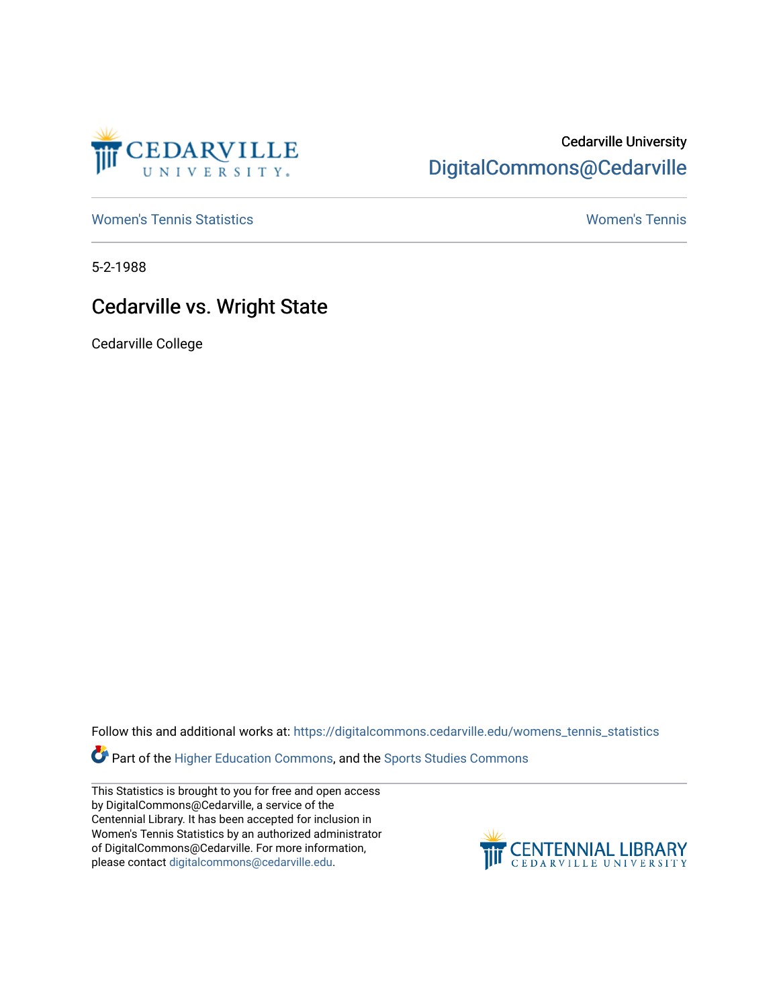

## Cedarville University [DigitalCommons@Cedarville](https://digitalcommons.cedarville.edu/)

[Women's Tennis Statistics](https://digitalcommons.cedarville.edu/womens_tennis_statistics) [Women's Tennis](https://digitalcommons.cedarville.edu/womens_tennis) 

5-2-1988

## Cedarville vs. Wright State

Cedarville College

Follow this and additional works at: [https://digitalcommons.cedarville.edu/womens\\_tennis\\_statistics](https://digitalcommons.cedarville.edu/womens_tennis_statistics?utm_source=digitalcommons.cedarville.edu%2Fwomens_tennis_statistics%2F88&utm_medium=PDF&utm_campaign=PDFCoverPages) 

Part of the [Higher Education Commons,](http://network.bepress.com/hgg/discipline/1245?utm_source=digitalcommons.cedarville.edu%2Fwomens_tennis_statistics%2F88&utm_medium=PDF&utm_campaign=PDFCoverPages) and the Sports Studies Commons

This Statistics is brought to you for free and open access by DigitalCommons@Cedarville, a service of the Centennial Library. It has been accepted for inclusion in Women's Tennis Statistics by an authorized administrator of DigitalCommons@Cedarville. For more information, please contact [digitalcommons@cedarville.edu](mailto:digitalcommons@cedarville.edu).